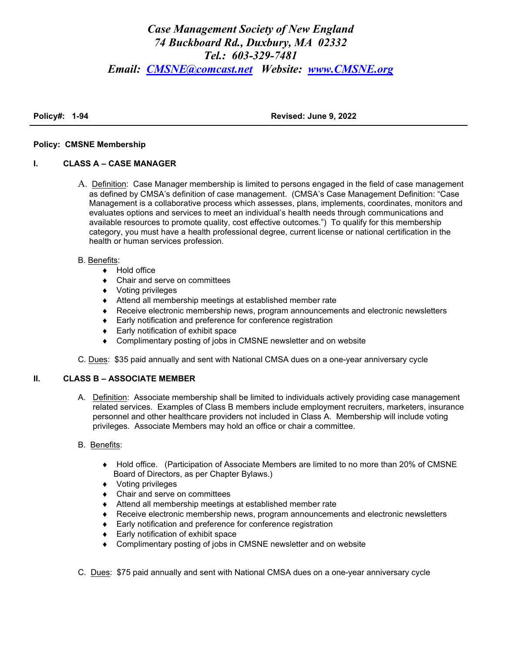# *Case Management Society of New England 74 Buckboard Rd., Duxbury, MA 02332 Tel.: 603-329-7481 Email: CMSNE@comcast.net Website: www.CMSNE.org*

**Policy#: 1-94 Revised: June 9, 2022**

## **Policy: CMSNE Membership**

# **I. CLASS A – CASE MANAGER**

A. Definition: Case Manager membership is limited to persons engaged in the field of case management as defined by CMSA's definition of case management. (CMSA's Case Management Definition: "Case Management is a collaborative process which assesses, plans, implements, coordinates, monitors and evaluates options and services to meet an individual's health needs through communications and available resources to promote quality, cost effective outcomes.") To qualify for this membership category, you must have a health professional degree, current license or national certification in the health or human services profession.

### B. Benefits:

- ◆ Hold office
- Chair and serve on committees
- ◆ Voting privileges
- Attend all membership meetings at established member rate
- Receive electronic membership news, program announcements and electronic newsletters
- ◆ Early notification and preference for conference registration
- ◆ Early notification of exhibit space
- Complimentary posting of jobs in CMSNE newsletter and on website

C. Dues: \$35 paid annually and sent with National CMSA dues on a one-year anniversary cycle

# **II. CLASS B – ASSOCIATE MEMBER**

A. Definition: Associate membership shall be limited to individuals actively providing case management related services. Examples of Class B members include employment recruiters, marketers, insurance personnel and other healthcare providers not included in Class A. Membership will include voting privileges. Associate Members may hold an office or chair a committee.

# B. Benefits:

- Hold office. (Participation of Associate Members are limited to no more than 20% of CMSNE Board of Directors, as per Chapter Bylaws.)
- ◆ Voting privileges
- Chair and serve on committees
- Attend all membership meetings at established member rate
- Receive electronic membership news, program announcements and electronic newsletters
- ◆ Early notification and preference for conference registration
- ◆ Early notification of exhibit space
- Complimentary posting of jobs in CMSNE newsletter and on website
- C. Dues: \$75 paid annually and sent with National CMSA dues on a one-year anniversary cycle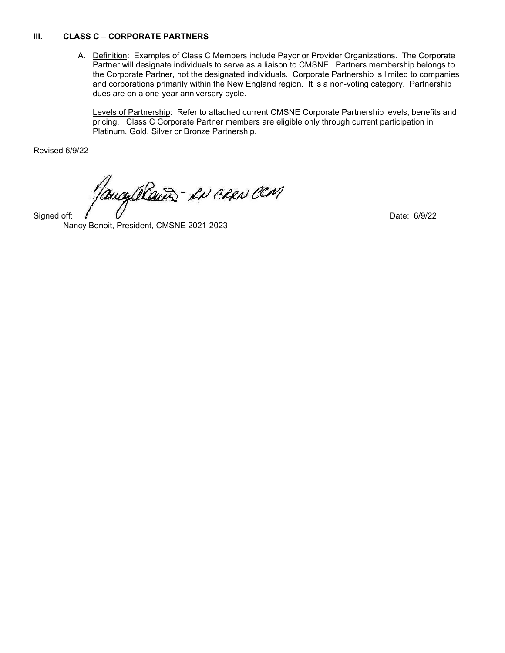## **III. CLASS C – CORPORATE PARTNERS**

A. Definition: Examples of Class C Members include Payor or Provider Organizations. The Corporate Partner will designate individuals to serve as a liaison to CMSNE. Partners membership belongs to the Corporate Partner, not the designated individuals. Corporate Partnership is limited to companies and corporations primarily within the New England region. It is a non-voting category. Partnership dues are on a one-year anniversary cycle.

Levels of Partnership: Refer to attached current CMSNE Corporate Partnership levels, benefits and pricing. Class C Corporate Partner members are eligible only through current participation in Platinum, Gold, Silver or Bronze Partnership.

Revised 6/9/22

mayalana en caro con

Nancy Benoit, President, CMSNE 2021-2023

Signed off: Date: 6/9/22